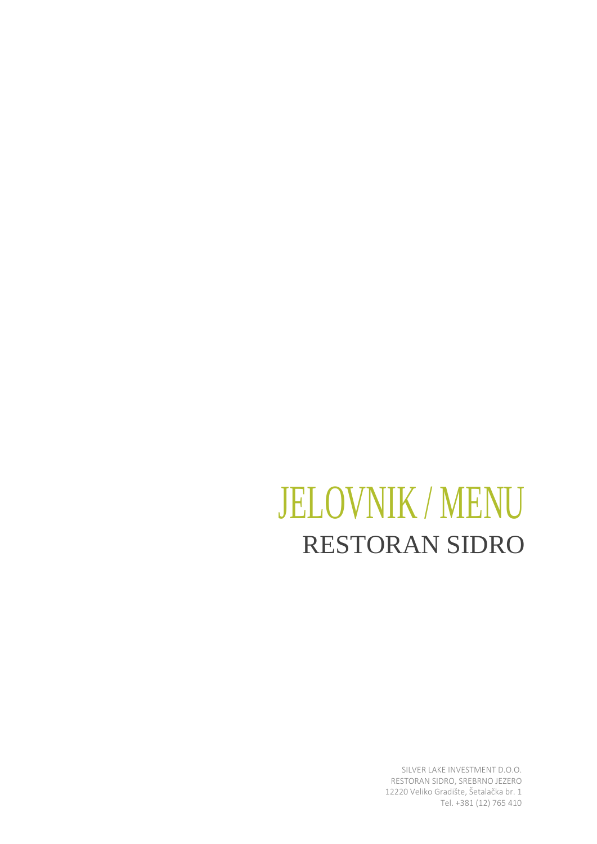## JELOVNIK / MENU RESTORAN SIDRO

SILVER LAKE INVESTMENT D.O.O. RESTORAN SIDRO, SREBRNO JEZERO 12220 Veliko Gradište, Šetalačka br. 1 Tel. +381 (12) 765 410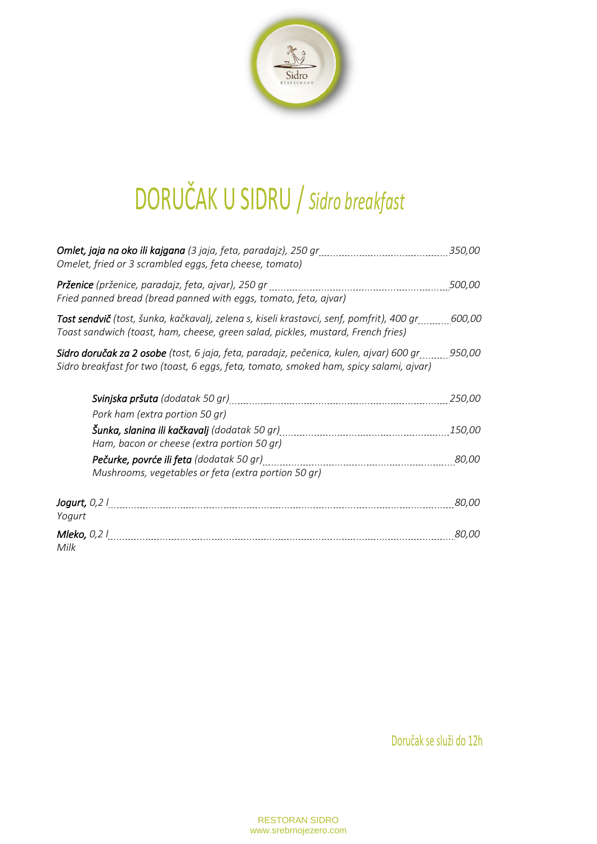

# DORUČAK U SIDRU / *Sidro breakfast*

| Omelet, fried or 3 scrambled eggs, feta cheese, tomato)                                                                                                                                                  | 350,00        |
|----------------------------------------------------------------------------------------------------------------------------------------------------------------------------------------------------------|---------------|
| Fried panned bread (bread panned with eggs, tomato, feta, ajvar)                                                                                                                                         | <i>500,00</i> |
| <b>Tost sendvič</b> (tost, šunka, kačkavalj, zelena s, kiseli krastavci, senf, pomfrit), 400 gr 600,00<br>Toast sandwich (toast, ham, cheese, green salad, pickles, mustard, French fries)               |               |
| <b>Sidro doručak za 2 osobe</b> (tost, 6 jaja, feta, paradajz, pečenica, kulen, ajvar) 600 gr           950,00<br>Sidro breakfast for two (toast, 6 eggs, feta, tomato, smoked ham, spicy salami, ajvar) |               |
|                                                                                                                                                                                                          | 250,00        |
| Pork ham (extra portion 50 gr)                                                                                                                                                                           |               |
| Ham, bacon or cheese (extra portion 50 gr)                                                                                                                                                               | <i>150,00</i> |
| <b>Pečurke, povrće ili feta</b> (dodatak 50 gr)<br>Mushrooms, vegetables or feta (extra portion 50 gr)                                                                                                   | 80,00         |
| Jogurt, $0,2$ /<br>Yogurt                                                                                                                                                                                | 80,00         |
| <b>Mleko,</b> 0,2 l<br>Milk                                                                                                                                                                              | <i>80,00</i>  |

Doručak se služi do 12h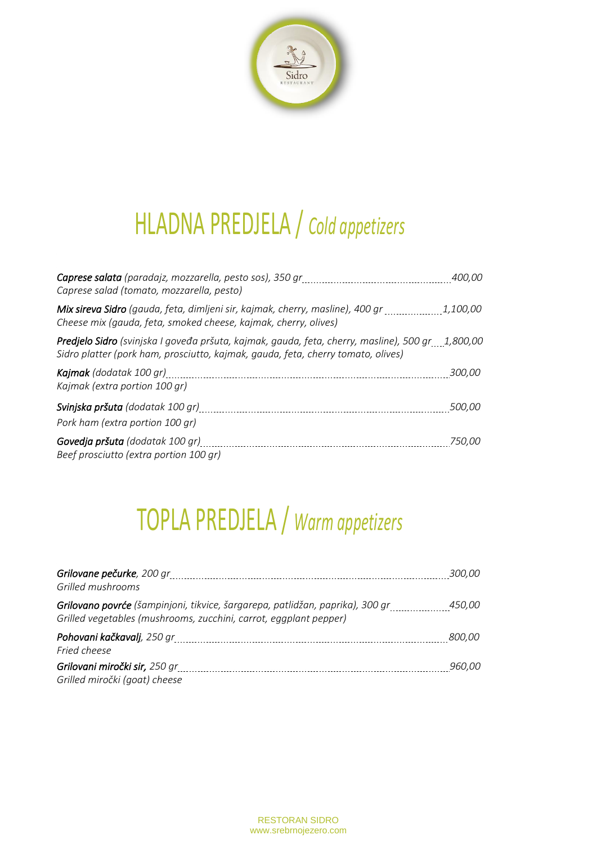

## HLADNA PREDJELA / *Cold appetizers*

| <b>Caprese salata</b> (paradajz, mozzarella, pesto sos), 350 gr<br>Caprese salad (tomato, mozzarella, pesto)                                                                                | <i>400.00</i> |
|---------------------------------------------------------------------------------------------------------------------------------------------------------------------------------------------|---------------|
| Mix sireva Sidro (gauda, feta, dimljeni sir, kajmak, cherry, masline), 400 gr 1,100,00<br>Cheese mix (gauda, feta, smoked cheese, kajmak, cherry, olives)                                   |               |
| <b>Predjelo Sidro</b> (svinjska I goveđa pršuta, kajmak, gauda, feta, cherry, masline), 500 gr 1,800,00<br>Sidro platter (pork ham, prosciutto, kajmak, gauda, feta, cherry tomato, olives) |               |
| <b>Kajmak</b> (dodatak 100 gr)<br>Kajmak (extra portion 100 gr)                                                                                                                             | <i>300,00</i> |
| Svinjska pršuta (dodatak 100 gr)<br>Pork ham (extra portion 100 gr)                                                                                                                         | <i>500,00</i> |
| Govedja pršuta (dodatak 100 gr)<br>Beef prosciutto (extra portion 100 gr)                                                                                                                   | <i>750,00</i> |

## TOPLA PREDJELA / *Warm appetizers*

| Grilled mushrooms                                                                                                                                         | <i>300,00</i> |
|-----------------------------------------------------------------------------------------------------------------------------------------------------------|---------------|
| <b>Grilovano povrće</b> (šampinjoni, tikvice, šargarepa, patlidžan, paprika), 300 gr<br>Grilled vegetables (mushrooms, zucchini, carrot, eggplant pepper) | <i>450,00</i> |
| Fried cheese                                                                                                                                              | <i>800,00</i> |
| Grilovani miročki sir, 250 gr<br>Grilled miročki (goat) cheese                                                                                            | <i>960,00</i> |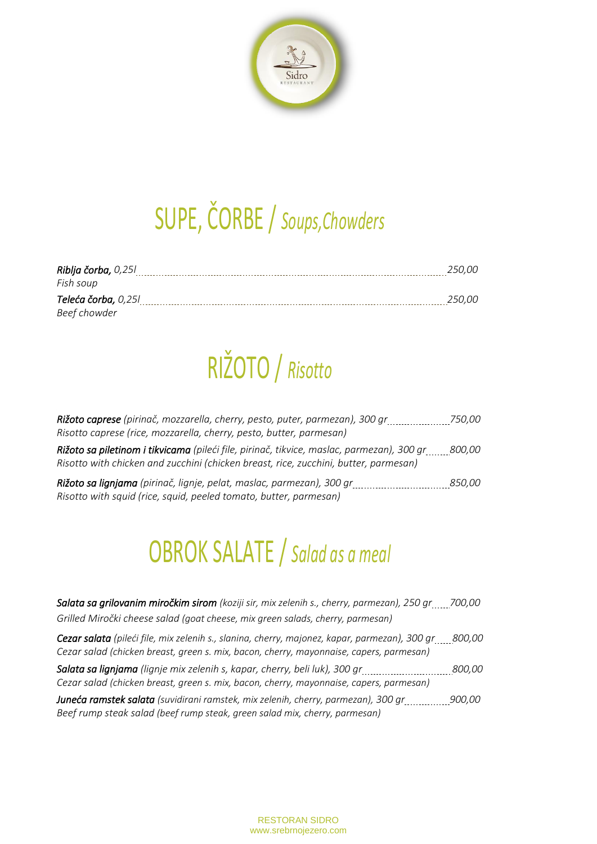

## SUPE, ČORBE / *Soups,Chowders*

| Riblja čorba, 0,25l | <i>250.00</i> |
|---------------------|---------------|
| Fish soup           |               |
| Teleća čorba, 0,25l | 250.00        |
| Beef chowder        |               |

## RIŽOTO / *Risotto*

| Rižoto caprese (pirinač, mozzarella, cherry, pesto, puter, parmezan), 300 gr                                                                                                      | <i>750,00</i> |
|-----------------------------------------------------------------------------------------------------------------------------------------------------------------------------------|---------------|
| Risotto caprese (rice, mozzarella, cherry, pesto, butter, parmesan)                                                                                                               |               |
| Rižoto sa piletinom i tikvicama (pileći file, pirinač, tikvice, maslac, parmezan), 300 gr<br>Risotto with chicken and zucchini (chicken breast, rice, zucchini, butter, parmesan) | <i>800,00</i> |
| Rižoto sa lignjama (pirinač, lignje, pelat, maslac, parmezan), 300 gr<br>Risotto with squid (rice, squid, peeled tomato, butter, parmesan)                                        | <i>850.00</i> |

#### OBROK SALATE / *Salad as a meal*

| Salata sa grilovanim miročkim sirom (koziji sir, mix zelenih s., cherry, parmezan), 250 gr 700,00 |  |
|---------------------------------------------------------------------------------------------------|--|
| Grilled Miročki cheese salad (goat cheese, mix green salads, cherry, parmesan)                    |  |

*Cezar salata (pileći file, mix zelenih s., slanina, cherry, majonez, kapar, parmezan), 300 gr 800,00 Cezar salad (chicken breast, green s. mix, bacon, cherry, mayonnaise, capers, parmesan)*

*Salata sa lignjama (lignje mix zelenih s, kapar, cherry, beli luk), 300 gr 800,00 Cezar salad (chicken breast, green s. mix, bacon, cherry, mayonnaise, capers, parmesan)*

*Juneća ramstek salata (suvidirani ramstek, mix zelenih, cherry, parmezan), 300 gr 900,00 Beef rump steak salad (beef rump steak, green salad mix, cherry, parmesan)*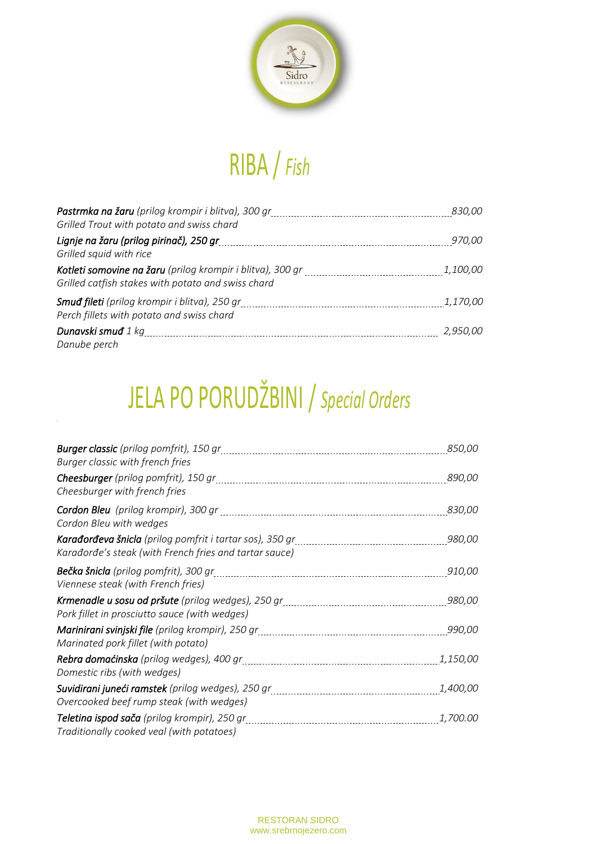

## RIBA / *Fish*

| Grilled Trout with potato and swiss chard                                                         | <i>830,00</i>   |
|---------------------------------------------------------------------------------------------------|-----------------|
| Lignje na žaru (prilog pirinač), 250 gr<br>Grilled squid with rice                                | <i>970,00</i>   |
| Grilled catfish stakes with potato and swiss chard                                                | <i>1,100,00</i> |
| <b>Smuđ fileti</b> (prilog krompir i blitva), 250 gr<br>Perch fillets with potato and swiss chard | <i>1,170,00</i> |
| <b>Dunavski smuđ</b> 1 kg<br>Danube perch                                                         | 2,950,00        |

## JELA PO PORUDŽBINI / *Special Orders*

*8*

| <b>Burger classic</b> (prilog pomfrit), 150 gr<br>Burger classic with french fries               | 850,00          |
|--------------------------------------------------------------------------------------------------|-----------------|
| Cheesburger with french fries                                                                    | <i>890,00</i>   |
| Cordon Bleu with wedges                                                                          | <i>830,00</i>   |
| Karađorđe's steak (with French fries and tartar sauce)                                           | 980,00          |
| Viennese steak (with French fries)                                                               | 910,00          |
| Pork fillet in prosciutto sauce (with wedges)                                                    | <i>980,00</i>   |
| Marinated pork fillet (with potato)                                                              | <i>990.00</i>   |
| <b>Rebra domaćinska</b> (prilog wedges), 400 gr<br>Domestic ribs (with wedges)                   | 1,150,00        |
| Overcooked beef rump steak (with wedges)                                                         | <i>1,400,00</i> |
| <b>Teletina ispod sača</b> (prilog krompir), 250 gr<br>Traditionally cooked veal (with potatoes) | <i>1.700.00</i> |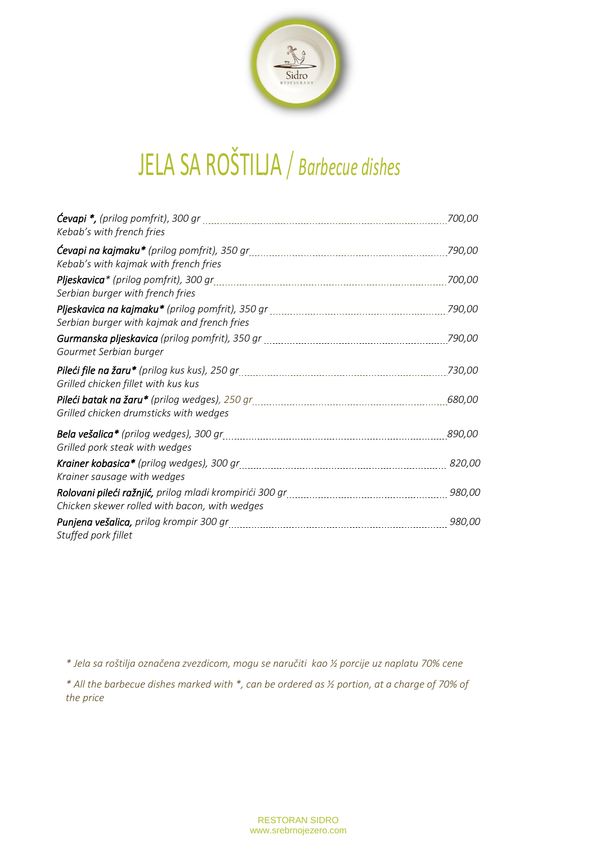

## JELA SA ROŠTILJA / *Barbecue dishes*

| <b>Cevapi *,</b> (prilog pomfrit), 300 gr<br>Kebab's with french fries | 700.00        |
|------------------------------------------------------------------------|---------------|
| Kebab's with kajmak with french fries                                  | 790,00        |
| Serbian burger with french fries                                       | 700,00        |
| Serbian burger with kajmak and french fries                            | 790,00        |
| Gourmet Serbian burger                                                 | 790,00        |
| Grilled chicken fillet with kus kus                                    | 730,00        |
| Grilled chicken drumsticks with wedges                                 | <i>680,00</i> |
| Grilled pork steak with wedges                                         | <i>890,00</i> |
| Krainer sausage with wedges                                            | <i>820,00</i> |
| Chicken skewer rolled with bacon, with wedges                          | <i>980,00</i> |
| Stuffed pork fillet                                                    | 980,00        |

*\* Jela sa roštilja označena zvezdicom, mogu se naručiti kao ½ porcije uz naplatu 70% cene*

*\* All the barbecue dishes marked with \*, can be ordered as ½ portion, at a charge of 70% of the price*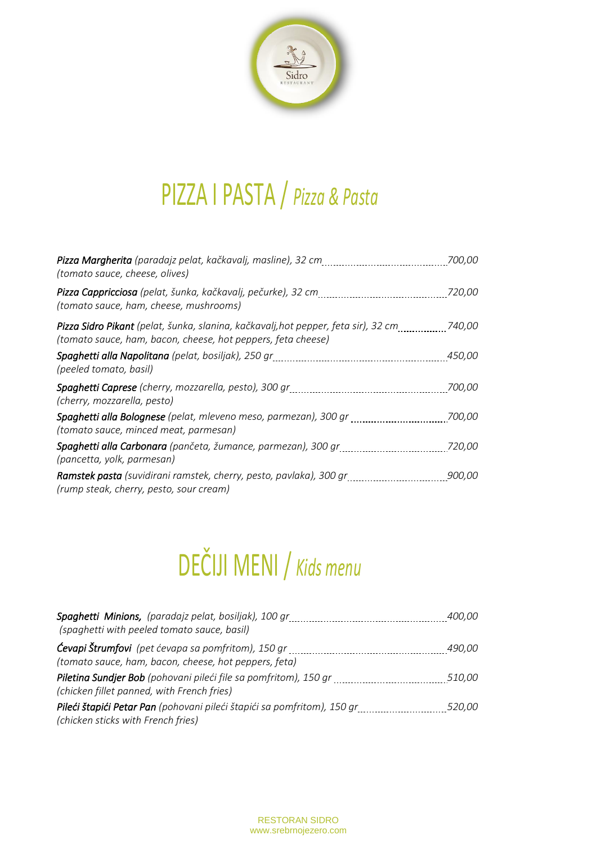

## PIZZA I PASTA / *Pizza & Pasta*

| Pizza Margherita (paradajz pelat, kačkavalj, masline), 32 cm<br>(tomato sauce, cheese, olives)                                                     | 700.00        |
|----------------------------------------------------------------------------------------------------------------------------------------------------|---------------|
| Pizza Cappricciosa (pelat, šunka, kačkavalj, pečurke), 32 cm<br>(tomato sauce, ham, cheese, mushrooms)                                             | 720,00        |
| Pizza Sidro Pikant (pelat, šunka, slanina, kačkavalj, hot pepper, feta sir), 32 cm<br>(tomato sauce, ham, bacon, cheese, hot peppers, feta cheese) | 740,00        |
| (peeled tomato, basil)                                                                                                                             | <i>450,00</i> |
| Spaghetti Caprese (cherry, mozzarella, pesto), 300 gr<br>(cherry, mozzarella, pesto)                                                               | 700,00        |
| Spaghetti alla Bolognese (pelat, mleveno meso, parmezan), 300 gr<br>(tomato sauce, minced meat, parmesan)                                          | 700,00        |
| Spaghetti alla Carbonara (pančeta, žumance, parmezan), 300 gr<br>(pancetta, yolk, parmesan)                                                        | 720,00        |
| Ramstek pasta (suvidirani ramstek, cherry, pesto, pavlaka), 300 gr<br>(rump steak, cherry, pesto, sour cream)                                      | <i>900,00</i> |

# DEČIJI MENI / *Kids menu*

| Spaghetti Minions, (paradajz pelat, bosiljak), 100 gr<br>(spaghetti with peeled tomato sauce, basil)               | <i>400,00</i> |
|--------------------------------------------------------------------------------------------------------------------|---------------|
| <b>Ćevapi Štrumfovi</b> (pet ćevapa sa pomfritom), 150 gr<br>(tomato sauce, ham, bacon, cheese, hot peppers, feta) | <i>490,00</i> |
| Piletina Sundjer Bob (pohovani pileći file sa pomfritom), 150 gr<br>(chicken fillet panned, with French fries)     | <i>510,00</i> |
| Pileći štapići Petar Pan (pohovani pileći štapići sa pomfritom), 150 gr<br>(chicken sticks with French fries)      | 520,00        |

RESTORAN SIDRO www.srebrnojezero.com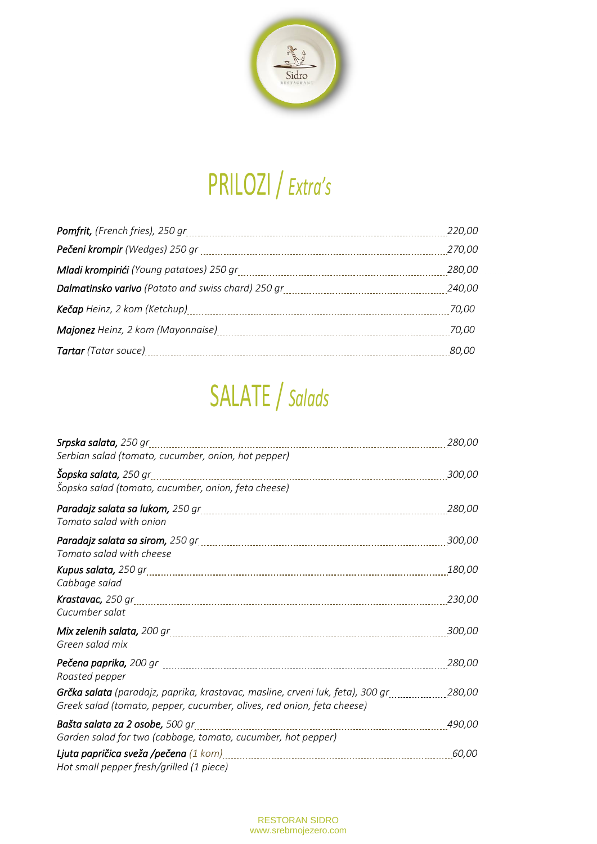

## PRILOZI / *Extra's*

| 220,00       |
|--------------|
| 270,00       |
| 280,00       |
| 240,00       |
| 70,00        |
| 70,00        |
| <i>80,00</i> |

## SALATE / *Salads*

| Srpska salata, 250 gr<br>Serbian salad (tomato, cucumber, onion, hot pepper)                                                                                    | 280,00        |
|-----------------------------------------------------------------------------------------------------------------------------------------------------------------|---------------|
| <b>Šopska salata,</b> 250 gr<br>Šopska salad (tomato, cucumber, onion, feta cheese)                                                                             | 300.00        |
| Tomato salad with onion                                                                                                                                         | 280,00        |
| Tomato salad with cheese                                                                                                                                        | 300.00        |
| Cabbage salad                                                                                                                                                   | 180,00        |
| Cucumber salat                                                                                                                                                  | <i>230,00</i> |
| Green salad mix                                                                                                                                                 | <i>300,00</i> |
| Roasted pepper                                                                                                                                                  | 280,00        |
| <b>Grčka salata</b> (paradajz, paprika, krastavac, masline, crveni luk, feta), 300 gr<br>Greek salad (tomato, pepper, cucumber, olives, red onion, feta cheese) | 280,00        |
| Bašta salata za 2 osobe, 500 gr<br>Garden salad for two (cabbage, tomato, cucumber, hot pepper)                                                                 | 490,00        |
| Hot small pepper fresh/grilled (1 piece)                                                                                                                        | <i>60,00</i>  |